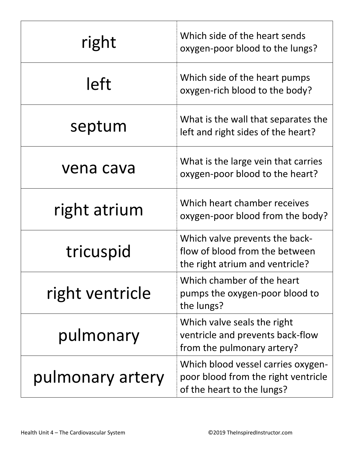| right            | Which side of the heart sends<br>oxygen-poor blood to the lungs?                                        |
|------------------|---------------------------------------------------------------------------------------------------------|
| left             | Which side of the heart pumps<br>oxygen-rich blood to the body?                                         |
| septum           | What is the wall that separates the<br>left and right sides of the heart?                               |
| vena cava        | What is the large vein that carries<br>oxygen-poor blood to the heart?                                  |
| right atrium     | Which heart chamber receives<br>oxygen-poor blood from the body?                                        |
| tricuspid        | Which valve prevents the back-<br>flow of blood from the between<br>the right atrium and ventricle?     |
| right ventricle  | Which chamber of the heart<br>pumps the oxygen-poor blood to<br>the lungs?                              |
| pulmonary        | Which valve seals the right<br>ventricle and prevents back-flow<br>from the pulmonary artery?           |
| pulmonary artery | Which blood vessel carries oxygen-<br>poor blood from the right ventricle<br>of the heart to the lungs? |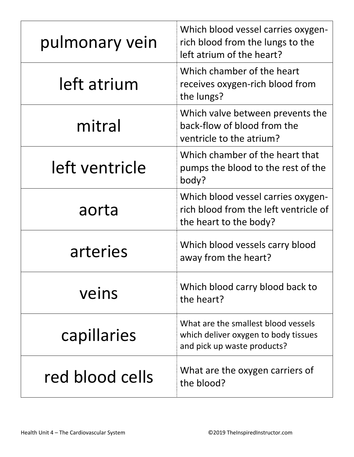| pulmonary vein  | Which blood vessel carries oxygen-<br>rich blood from the lungs to the<br>left atrium of the heart?        |
|-----------------|------------------------------------------------------------------------------------------------------------|
| left atrium     | Which chamber of the heart<br>receives oxygen-rich blood from<br>the lungs?                                |
| mitral          | Which valve between prevents the<br>back-flow of blood from the<br>ventricle to the atrium?                |
| left ventricle  | Which chamber of the heart that<br>pumps the blood to the rest of the<br>body?                             |
| aorta           | Which blood vessel carries oxygen-<br>rich blood from the left ventricle of<br>the heart to the body?      |
| arteries        | Which blood vessels carry blood<br>away from the heart?                                                    |
| veins           | Which blood carry blood back to<br>the heart?                                                              |
| capillaries     | What are the smallest blood vessels<br>which deliver oxygen to body tissues<br>and pick up waste products? |
| red blood cells | What are the oxygen carriers of<br>the blood?                                                              |